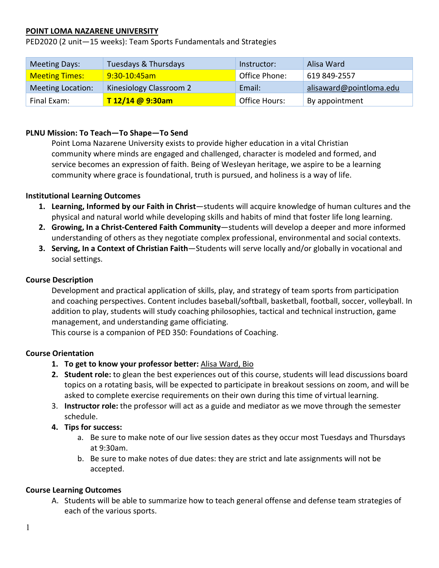# **POINT LOMA NAZARENE UNIVERSITY**

PED2020 (2 unit—15 weeks): Team Sports Fundamentals and Strategies

| <b>Meeting Days:</b>     | Tuesdays & Thursdays    | Instructor:   | Alisa Ward              |
|--------------------------|-------------------------|---------------|-------------------------|
| <b>Meeting Times:</b>    | 9:30-10:45am            | Office Phone: | 619 849-2557            |
| <b>Meeting Location:</b> | Kinesiology Classroom 2 | Email:        | alisaward@pointloma.edu |
| Final Exam:              | T 12/14 @ 9:30am        | Office Hours: | By appointment          |

# **PLNU Mission: To Teach—To Shape—To Send**

Point Loma Nazarene University exists to provide higher education in a vital Christian community where minds are engaged and challenged, character is modeled and formed, and service becomes an expression of faith. Being of Wesleyan heritage, we aspire to be a learning community where grace is foundational, truth is pursued, and holiness is a way of life.

## **Institutional Learning Outcomes**

- **1. Learning, Informed by our Faith in Christ**—students will acquire knowledge of human cultures and the physical and natural world while developing skills and habits of mind that foster life long learning.
- **2. Growing, In a Christ-Centered Faith Community**—students will develop a deeper and more informed understanding of others as they negotiate complex professional, environmental and social contexts.
- **3. Serving, In a Context of Christian Faith**—Students will serve locally and/or globally in vocational and social settings.

## **Course Description**

Development and practical application of skills, play, and strategy of team sports from participation and coaching perspectives. Content includes baseball/softball, basketball, football, soccer, volleyball. In addition to play, students will study coaching philosophies, tactical and technical instruction, game management, and understanding game officiating.

This course is a companion of PED 350: Foundations of Coaching.

### **Course Orientation**

- **1. To get to know your professor better:** [Alisa Ward, Bio](https://www.pointloma.edu/faculty/alisa-ward-ma)
- **2. Student role:** to glean the best experiences out of this course, students will lead discussions board topics on a rotating basis, will be expected to participate in breakout sessions on zoom, and will be asked to complete exercise requirements on their own during this time of virtual learning.
- 3. **Instructor role:** the professor will act as a guide and mediator as we move through the semester schedule.
- **4. Tips for success:** 
	- a. Be sure to make note of our live session dates as they occur most Tuesdays and Thursdays at 9:30am.
	- b. Be sure to make notes of due dates: they are strict and late assignments will not be accepted.

### **Course Learning Outcomes**

A. Students will be able to summarize how to teach general offense and defense team strategies of each of the various sports.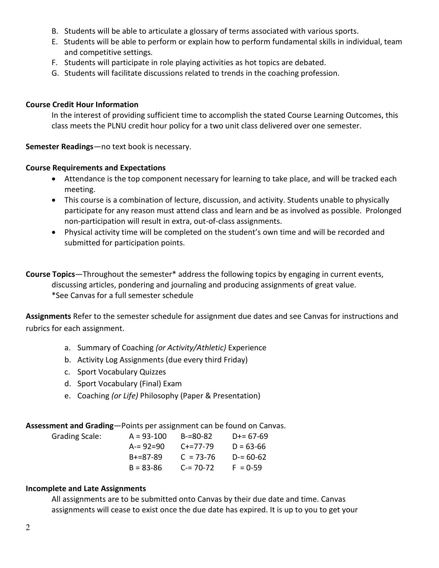- B. Students will be able to articulate a glossary of terms associated with various sports.
- E. Students will be able to perform or explain how to perform fundamental skills in individual, team and competitive settings.
- F. Students will participate in role playing activities as hot topics are debated.
- G. Students will facilitate discussions related to trends in the coaching profession.

# **Course Credit Hour Information**

In the interest of providing sufficient time to accomplish the stated Course Learning Outcomes, this class meets the PLNU credit hour policy for a two unit class delivered over one semester.

**Semester Readings**—no text book is necessary.

# **Course Requirements and Expectations**

- Attendance is the top component necessary for learning to take place, and will be tracked each meeting.
- This course is a combination of lecture, discussion, and activity. Students unable to physically participate for any reason must attend class and learn and be as involved as possible. Prolonged non-participation will result in extra, out-of-class assignments.
- Physical activity time will be completed on the student's own time and will be recorded and submitted for participation points.
- **Course Topics**—Throughout the semester\* address the following topics by engaging in current events, discussing articles, pondering and journaling and producing assignments of great value. \*See Canvas for a full semester schedule

**Assignments** Refer to the semester schedule for assignment due dates and see Canvas for instructions and rubrics for each assignment.

- a. Summary of Coaching *(or Activity/Athletic)* Experience
- b. Activity Log Assignments (due every third Friday)
- c. Sport Vocabulary Quizzes
- d. Sport Vocabulary (Final) Exam
- e. Coaching *(or Life)* Philosophy (Paper & Presentation)

**Assessment and Grading**—Points per assignment can be found on Canvas.

| Grading Scale: | $A = 93 - 100$  | B-=80-82        | $D+= 67-69$   |
|----------------|-----------------|-----------------|---------------|
|                | $A = 92 = 90$   | $C + = 77 - 79$ | $D = 63 - 66$ |
|                | $B + = 87 - 89$ | $C = 73-76$     | $D = 60-62$   |
|                | $B = 83 - 86$   | $C = 70-72$     | $F = 0.59$    |

# **Incomplete and Late Assignments**

All assignments are to be submitted onto Canvas by their due date and time. Canvas assignments will cease to exist once the due date has expired. It is up to you to get your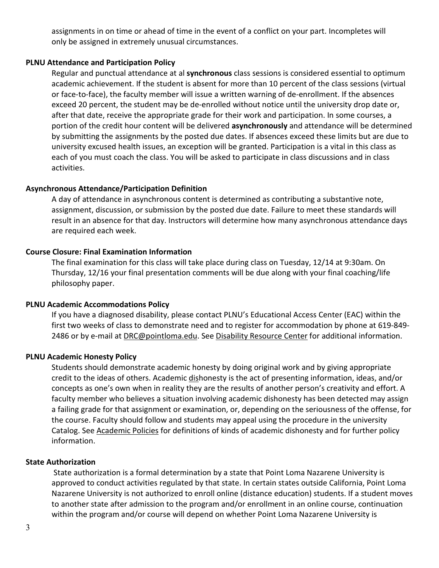assignments in on time or ahead of time in the event of a conflict on your part. Incompletes will only be assigned in extremely unusual circumstances.

### **PLNU Attendance and Participation Policy**

Regular and punctual attendance at al **synchronous** class sessions is considered essential to optimum academic achievement. If the student is absent for more than 10 percent of the class sessions (virtual or face-to-face), the faculty member will issue a written warning of de-enrollment. If the absences exceed 20 percent, the student may be de-enrolled without notice until the university drop date or, after that date, receive the appropriate grade for their work and participation. In some courses, a portion of the credit hour content will be delivered **asynchronously** and attendance will be determined by submitting the assignments by the posted due dates. If absences exceed these limits but are due to university excused health issues, an exception will be granted. Participation is a vital in this class as each of you must coach the class. You will be asked to participate in class discussions and in class activities.

### **Asynchronous Attendance/Participation Definition**

A day of attendance in asynchronous content is determined as contributing a substantive note, assignment, discussion, or submission by the posted due date. Failure to meet these standards will result in an absence for that day. Instructors will determine how many asynchronous attendance days are required each week.

## **Course Closure: Final Examination Information**

The final examination for this class will take place during class on Tuesday, 12/14 at 9:30am. On Thursday, 12/16 your final presentation comments will be due along with your final coaching/life philosophy paper.

### **PLNU Academic Accommodations Policy**

If you have a diagnosed disability, please contact PLNU's Educational Access Center (EAC) within the first two weeks of class to demonstrate need and to register for accommodation by phone at 619-849- 2486 or by e-mail at [DRC@pointloma.edu.](mailto:DRC@pointloma.edu) See [Disability Resource Center](http://www.pointloma.edu/experience/offices/administrative-offices/academic-advising-office/disability-resource-center) for additional information.

## **PLNU Academic Honesty Policy**

Students should demonstrate academic honesty by doing original work and by giving appropriate credit to the ideas of others. Academic dishonesty is the act of presenting information, ideas, and/or concepts as one's own when in reality they are the results of another person's creativity and effort. A faculty member who believes a situation involving academic dishonesty has been detected may assign a failing grade for that assignment or examination, or, depending on the seriousness of the offense, for the course. Faculty should follow and students may appeal using the procedure in the university Catalog. See [Academic Policies](http://catalog.pointloma.edu/content.php?catoid=18&navoid=1278) for definitions of kinds of academic dishonesty and for further policy information.

### **State Authorization**

State authorization is a formal determination by a state that Point Loma Nazarene University is approved to conduct activities regulated by that state. In certain states outside California, Point Loma Nazarene University is not authorized to enroll online (distance education) students. If a student moves to another state after admission to the program and/or enrollment in an online course, continuation within the program and/or course will depend on whether Point Loma Nazarene University is